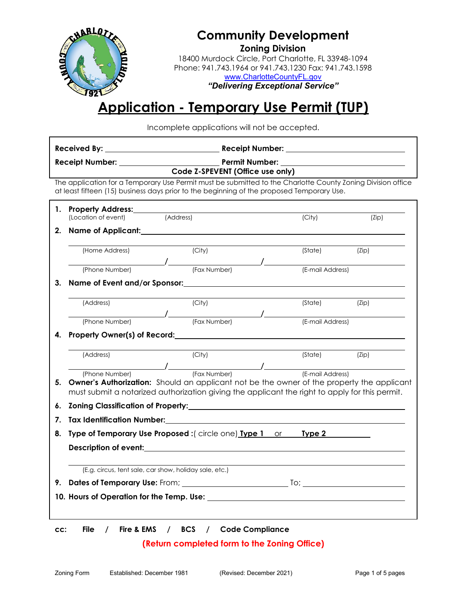

## **Community Development**

**Zoning Division**  18400 Murdock Circle, Port Charlotte, FL 33948-1094 Phone: 941.743.1964 or 941.743.1230 Fax: 941.743.1598 [www.CharlotteCountyFL.gov](http://www.charlottecountyfl.gov/)

*"Delivering Exceptional Service"* 

## **Application - Temporary Use Permit (TUP)**

Incomplete applications will not be accepted.

| Code Z-SPEVENT (Office use only)                                                                                                                                                                         |                                                                |                                                                                                                                                                                                                                                                      |                  |       |  |  |  |  |
|----------------------------------------------------------------------------------------------------------------------------------------------------------------------------------------------------------|----------------------------------------------------------------|----------------------------------------------------------------------------------------------------------------------------------------------------------------------------------------------------------------------------------------------------------------------|------------------|-------|--|--|--|--|
| The application for a Temporary Use Permit must be submitted to the Charlotte County Zoning Division office<br>at least fifteen (15) business days prior to the beginning of the proposed Temporary Use. |                                                                |                                                                                                                                                                                                                                                                      |                  |       |  |  |  |  |
|                                                                                                                                                                                                          | 1. Property Address:________<br>(Location of event)            | (Address)                                                                                                                                                                                                                                                            | (City)           | (Zip) |  |  |  |  |
| 2.                                                                                                                                                                                                       |                                                                |                                                                                                                                                                                                                                                                      |                  |       |  |  |  |  |
|                                                                                                                                                                                                          | (Home Address)                                                 | (City)                                                                                                                                                                                                                                                               | (State) (Zip)    |       |  |  |  |  |
|                                                                                                                                                                                                          |                                                                | (Phone Number) / (Fax Number) / (Fax Number) / (E-                                                                                                                                                                                                                   | (E-mail Address) |       |  |  |  |  |
| 3.                                                                                                                                                                                                       |                                                                |                                                                                                                                                                                                                                                                      |                  |       |  |  |  |  |
|                                                                                                                                                                                                          | (Address)                                                      | (City)                                                                                                                                                                                                                                                               | (State)          | (Zip) |  |  |  |  |
|                                                                                                                                                                                                          |                                                                | (Phone Number)<br>(Fax Number) (Fax Number) (E-mail Address)                                                                                                                                                                                                         |                  |       |  |  |  |  |
| 4.                                                                                                                                                                                                       |                                                                | Property Owner(s) of Record: Manual Assemblance Control of Record:                                                                                                                                                                                                   |                  |       |  |  |  |  |
|                                                                                                                                                                                                          | (Address)                                                      | (City)                                                                                                                                                                                                                                                               | (State) (Zip)    |       |  |  |  |  |
| 5.                                                                                                                                                                                                       |                                                                | (Phone Number)<br>(Phone Number) (Fax Number) (E-mail Address)<br><b>Owner's Authorization:</b> Should an applicant not be the owner of the property the applicant<br>must submit a notarized authorization giving the applicant the right to apply for this permit. |                  |       |  |  |  |  |
| 6.                                                                                                                                                                                                       |                                                                |                                                                                                                                                                                                                                                                      |                  |       |  |  |  |  |
| 7.                                                                                                                                                                                                       |                                                                |                                                                                                                                                                                                                                                                      |                  |       |  |  |  |  |
| 8.                                                                                                                                                                                                       | Type of Temporary Use Proposed : (circle one) Type 1 or Type 2 |                                                                                                                                                                                                                                                                      |                  |       |  |  |  |  |
|                                                                                                                                                                                                          |                                                                |                                                                                                                                                                                                                                                                      |                  |       |  |  |  |  |
|                                                                                                                                                                                                          | (E.g. circus, tent sale, car show, holiday sale, etc.)         |                                                                                                                                                                                                                                                                      |                  |       |  |  |  |  |
|                                                                                                                                                                                                          |                                                                |                                                                                                                                                                                                                                                                      |                  |       |  |  |  |  |
|                                                                                                                                                                                                          |                                                                |                                                                                                                                                                                                                                                                      |                  |       |  |  |  |  |
|                                                                                                                                                                                                          |                                                                |                                                                                                                                                                                                                                                                      |                  |       |  |  |  |  |
|                                                                                                                                                                                                          |                                                                |                                                                                                                                                                                                                                                                      |                  |       |  |  |  |  |

**cc: File / Fire & EMS / BCS / Code Compliance**

### **(Return completed form to the Zoning Office)**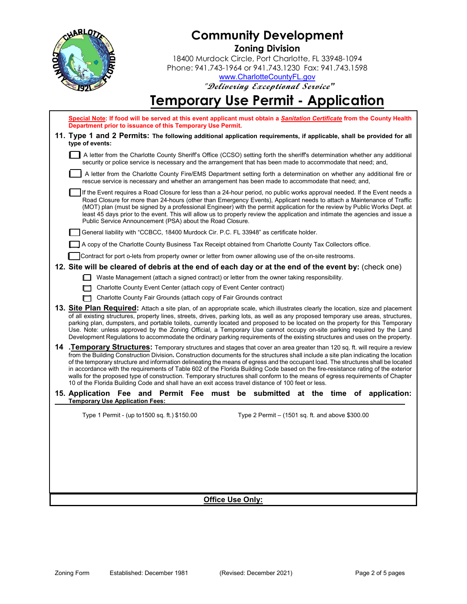

## **Community Development Zoning Division**

18400 Murdock Circle, Port Charlotte, FL 33948-1094 Phone: 941.743-1964 or 941.743.1230 Fax: 941.743.1598 [www.CharlotteCountyFL.gov](http://www.charlottecountyfl.gov/)

**"Delivering Exceptional Service***"* 

# **Temporary Use Permit - Application**

| Special Note: If food will be served at this event applicant must obtain a Sanitation Certificate from the County Health<br>Department prior to issuance of this Temporary Use Permit.                                                                                                                                                                                                                                                                                                                                                                                                                                                                                                                                                                                                 |                                                                                                                                                                                                                                                                                                                                                                                                                                                                                                                                                                                 |  |                                                    |  |  |  |  |  |
|----------------------------------------------------------------------------------------------------------------------------------------------------------------------------------------------------------------------------------------------------------------------------------------------------------------------------------------------------------------------------------------------------------------------------------------------------------------------------------------------------------------------------------------------------------------------------------------------------------------------------------------------------------------------------------------------------------------------------------------------------------------------------------------|---------------------------------------------------------------------------------------------------------------------------------------------------------------------------------------------------------------------------------------------------------------------------------------------------------------------------------------------------------------------------------------------------------------------------------------------------------------------------------------------------------------------------------------------------------------------------------|--|----------------------------------------------------|--|--|--|--|--|
| 11. Type 1 and 2 Permits: The following additional application requirements, if applicable, shall be provided for all<br>type of events:                                                                                                                                                                                                                                                                                                                                                                                                                                                                                                                                                                                                                                               |                                                                                                                                                                                                                                                                                                                                                                                                                                                                                                                                                                                 |  |                                                    |  |  |  |  |  |
|                                                                                                                                                                                                                                                                                                                                                                                                                                                                                                                                                                                                                                                                                                                                                                                        | A letter from the Charlotte County Sheriff's Office (CCSO) setting forth the sheriff's determination whether any additional<br>security or police service is necessary and the arrangement that has been made to accommodate that need; and,                                                                                                                                                                                                                                                                                                                                    |  |                                                    |  |  |  |  |  |
|                                                                                                                                                                                                                                                                                                                                                                                                                                                                                                                                                                                                                                                                                                                                                                                        | A letter from the Charlotte County Fire/EMS Department setting forth a determination on whether any additional fire or<br>rescue service is necessary and whether an arrangement has been made to accommodate that need; and,                                                                                                                                                                                                                                                                                                                                                   |  |                                                    |  |  |  |  |  |
|                                                                                                                                                                                                                                                                                                                                                                                                                                                                                                                                                                                                                                                                                                                                                                                        | If the Event requires a Road Closure for less than a 24-hour period, no public works approval needed. If the Event needs a<br>Road Closure for more than 24-hours (other than Emergency Events), Applicant needs to attach a Maintenance of Traffic<br>(MOT) plan (must be signed by a professional Engineer) with the permit application for the review by Public Works Dept. at<br>least 45 days prior to the event. This will allow us to properly review the application and intimate the agencies and issue a<br>Public Service Announcement (PSA) about the Road Closure. |  |                                                    |  |  |  |  |  |
|                                                                                                                                                                                                                                                                                                                                                                                                                                                                                                                                                                                                                                                                                                                                                                                        | General liability with "CCBCC, 18400 Murdock Cir. P.C. FL 33948" as certificate holder.                                                                                                                                                                                                                                                                                                                                                                                                                                                                                         |  |                                                    |  |  |  |  |  |
|                                                                                                                                                                                                                                                                                                                                                                                                                                                                                                                                                                                                                                                                                                                                                                                        | A copy of the Charlotte County Business Tax Receipt obtained from Charlotte County Tax Collectors office.                                                                                                                                                                                                                                                                                                                                                                                                                                                                       |  |                                                    |  |  |  |  |  |
| Contract for port o-lets from property owner or letter from owner allowing use of the on-site restrooms.                                                                                                                                                                                                                                                                                                                                                                                                                                                                                                                                                                                                                                                                               |                                                                                                                                                                                                                                                                                                                                                                                                                                                                                                                                                                                 |  |                                                    |  |  |  |  |  |
| 12. Site will be cleared of debris at the end of each day or at the end of the event by: (check one)                                                                                                                                                                                                                                                                                                                                                                                                                                                                                                                                                                                                                                                                                   |                                                                                                                                                                                                                                                                                                                                                                                                                                                                                                                                                                                 |  |                                                    |  |  |  |  |  |
|                                                                                                                                                                                                                                                                                                                                                                                                                                                                                                                                                                                                                                                                                                                                                                                        | Waste Management (attach a signed contract) or letter from the owner taking responsibility.                                                                                                                                                                                                                                                                                                                                                                                                                                                                                     |  |                                                    |  |  |  |  |  |
|                                                                                                                                                                                                                                                                                                                                                                                                                                                                                                                                                                                                                                                                                                                                                                                        | Charlotte County Event Center (attach copy of Event Center contract)                                                                                                                                                                                                                                                                                                                                                                                                                                                                                                            |  |                                                    |  |  |  |  |  |
| Charlotte County Fair Grounds (attach copy of Fair Grounds contract                                                                                                                                                                                                                                                                                                                                                                                                                                                                                                                                                                                                                                                                                                                    |                                                                                                                                                                                                                                                                                                                                                                                                                                                                                                                                                                                 |  |                                                    |  |  |  |  |  |
| <b>13. Site Plan Required:</b> Attach a site plan, of an appropriate scale, which illustrates clearly the location, size and placement<br>of all existing structures, property lines, streets, drives, parking lots, as well as any proposed temporary use areas, structures,<br>parking plan, dumpsters, and portable toilets, currently located and proposed to be located on the property for this Temporary<br>Use. Note: unless approved by the Zoning Official, a Temporary Use cannot occupy on-site parking required by the Land<br>Development Regulations to accommodate the ordinary parking requirements of the existing structures and uses on the property.                                                                                                              |                                                                                                                                                                                                                                                                                                                                                                                                                                                                                                                                                                                 |  |                                                    |  |  |  |  |  |
| 14 . Temporary Structures: Temporary structures and stages that cover an area greater than 120 sq. ft. will require a review<br>from the Building Construction Division. Construction documents for the structures shall include a site plan indicating the location<br>of the temporary structure and information delineating the means of egress and the occupant load. The structures shall be located<br>in accordance with the requirements of Table 602 of the Florida Building Code based on the fire-resistance rating of the exterior<br>walls for the proposed type of construction. Temporary structures shall conform to the means of egress requirements of Chapter<br>10 of the Florida Building Code and shall have an exit access travel distance of 100 feet or less. |                                                                                                                                                                                                                                                                                                                                                                                                                                                                                                                                                                                 |  |                                                    |  |  |  |  |  |
| 15. Application Fee and Permit Fee must be submitted at the time of application:<br><b>Temporary Use Application Fees:</b>                                                                                                                                                                                                                                                                                                                                                                                                                                                                                                                                                                                                                                                             |                                                                                                                                                                                                                                                                                                                                                                                                                                                                                                                                                                                 |  |                                                    |  |  |  |  |  |
| Type 1 Permit - (up to 1500 sq. ft.) \$150.00                                                                                                                                                                                                                                                                                                                                                                                                                                                                                                                                                                                                                                                                                                                                          |                                                                                                                                                                                                                                                                                                                                                                                                                                                                                                                                                                                 |  | Type 2 Permit $-$ (1501 sq. ft. and above \$300.00 |  |  |  |  |  |
|                                                                                                                                                                                                                                                                                                                                                                                                                                                                                                                                                                                                                                                                                                                                                                                        |                                                                                                                                                                                                                                                                                                                                                                                                                                                                                                                                                                                 |  |                                                    |  |  |  |  |  |
|                                                                                                                                                                                                                                                                                                                                                                                                                                                                                                                                                                                                                                                                                                                                                                                        |                                                                                                                                                                                                                                                                                                                                                                                                                                                                                                                                                                                 |  |                                                    |  |  |  |  |  |
|                                                                                                                                                                                                                                                                                                                                                                                                                                                                                                                                                                                                                                                                                                                                                                                        |                                                                                                                                                                                                                                                                                                                                                                                                                                                                                                                                                                                 |  |                                                    |  |  |  |  |  |
|                                                                                                                                                                                                                                                                                                                                                                                                                                                                                                                                                                                                                                                                                                                                                                                        |                                                                                                                                                                                                                                                                                                                                                                                                                                                                                                                                                                                 |  |                                                    |  |  |  |  |  |
|                                                                                                                                                                                                                                                                                                                                                                                                                                                                                                                                                                                                                                                                                                                                                                                        |                                                                                                                                                                                                                                                                                                                                                                                                                                                                                                                                                                                 |  |                                                    |  |  |  |  |  |
|                                                                                                                                                                                                                                                                                                                                                                                                                                                                                                                                                                                                                                                                                                                                                                                        |                                                                                                                                                                                                                                                                                                                                                                                                                                                                                                                                                                                 |  |                                                    |  |  |  |  |  |
| <b>Office Use Only:</b>                                                                                                                                                                                                                                                                                                                                                                                                                                                                                                                                                                                                                                                                                                                                                                |                                                                                                                                                                                                                                                                                                                                                                                                                                                                                                                                                                                 |  |                                                    |  |  |  |  |  |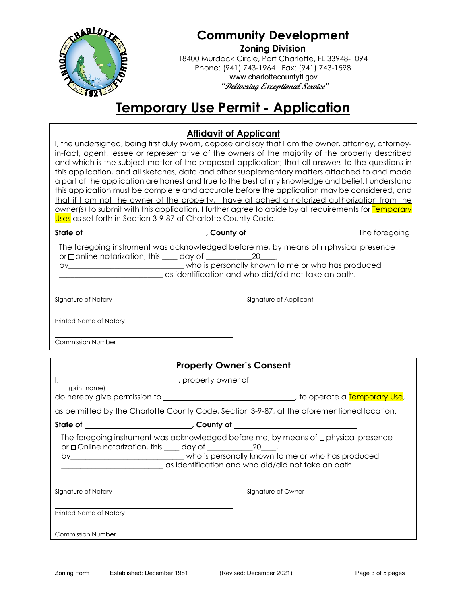

# **Community Development**

**Zoning Division**  18400 Murdock Circle, Port Charlotte, FL 33948-1094 Phone: (941) 743-1964 Fax: (941) 743-1598 www.charlottecountyfl.gov *"***Delivering Exceptional Service***"* 

## **Temporary Use Permit - Application**

### **Affidavit of Applicant**

I, the undersigned, being first duly sworn, depose and say that I am the owner, attorney, attorneyin-fact, agent, lessee or representative of the owners of the majority of the property described and which is the subject matter of the proposed application; that all answers to the questions in this application, and all sketches, data and other supplementary matters attached to and made a part of the application are honest and true to the best of my knowledge and belief. I understand this application must be complete and accurate before the application may be considered, and that if I am not the owner of the property, I have attached a notarized authorization from the owner(s) to submit with this application. I further agree to abide by all requirements for Temporary Uses as set forth in Section 3-9-87 of Charlotte County Code.

| State of                 |                                                                                                                                                                                                                                                                  |  |
|--------------------------|------------------------------------------------------------------------------------------------------------------------------------------------------------------------------------------------------------------------------------------------------------------|--|
|                          | The foregoing instrument was acknowledged before me, by means of $\Box$ physical presence<br>or $\Box$ online notarization, this $\Box$ day of $\Box$ $\Box$ $\Box$ $\Box$<br>by_______________________________who is personally known to me or who has produced |  |
|                          | as identification and who did/did not take an oath.                                                                                                                                                                                                              |  |
|                          |                                                                                                                                                                                                                                                                  |  |
| Signature of Notary      | Signature of Applicant                                                                                                                                                                                                                                           |  |
| Printed Name of Notary   |                                                                                                                                                                                                                                                                  |  |
| <b>Commission Number</b> |                                                                                                                                                                                                                                                                  |  |
|                          | <b>Property Owner's Consent</b>                                                                                                                                                                                                                                  |  |
|                          | I, _______________________________, property owner of __________________________                                                                                                                                                                                 |  |
| (print name)             |                                                                                                                                                                                                                                                                  |  |
|                          | as permitted by the Charlotte County Code, Section 3-9-87, at the aforementioned location.                                                                                                                                                                       |  |
|                          |                                                                                                                                                                                                                                                                  |  |
|                          | The foregoing instrument was acknowledged before me, by means of <b>p</b> physical presence<br>or □ Online notarization, this ____ day of ____________________________,                                                                                          |  |
|                          | as identification and who did/did not take an oath.                                                                                                                                                                                                              |  |
| Signature of Notary      | Signature of Owner                                                                                                                                                                                                                                               |  |
| Printed Name of Notary   |                                                                                                                                                                                                                                                                  |  |
| <b>Commission Number</b> |                                                                                                                                                                                                                                                                  |  |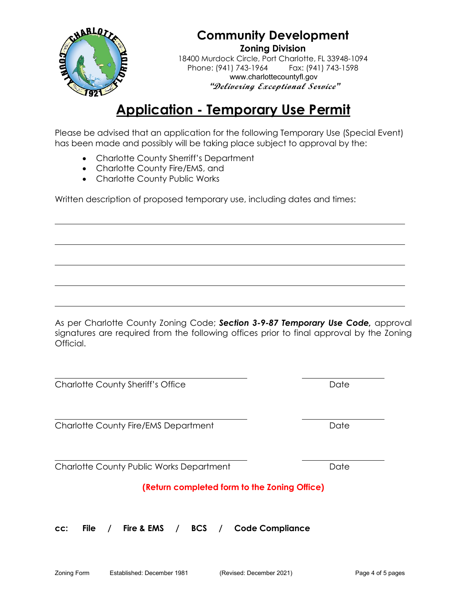

## **Community Development Zoning Division**

18400 Murdock Circle, Port Charlotte, FL 33948-1094 Phone: (941) 743-1964 www.charlottecountyfl.gov *"***Delivering Exceptional Service***"* 

## **Application - Temporary Use Permit**

Please be advised that an application for the following Temporary Use (Special Event) has been made and possibly will be taking place subject to approval by the:

- Charlotte County Sherriff's Department
- Charlotte County Fire/EMS, and
- Charlotte County Public Works

Written description of proposed temporary use, including dates and times:

As per Charlotte County Zoning Code; *Section 3-9-87 Temporary Use Code,* approval signatures are required from the following offices prior to final approval by the Zoning Official.

Charlotte County Sheriff's Office Date Date

Charlotte County Fire/EMS Department Date Date

Charlotte County Public Works Department Date

## **(Return completed form to the Zoning Office)**

**cc: File / Fire & EMS / BCS / Code Compliance**